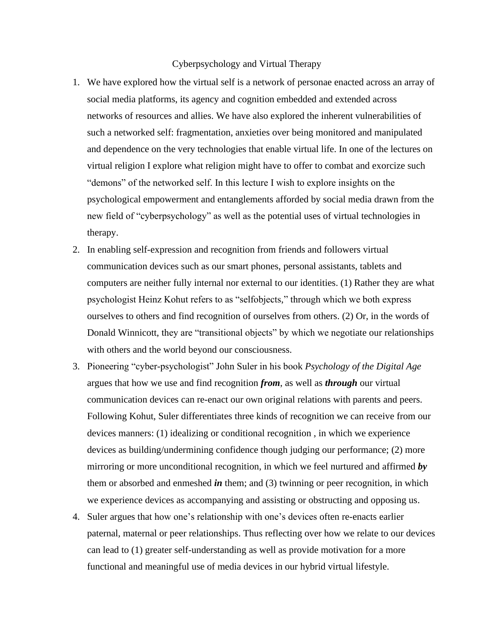## Cyberpsychology and Virtual Therapy

- 1. We have explored how the virtual self is a network of personae enacted across an array of social media platforms, its agency and cognition embedded and extended across networks of resources and allies. We have also explored the inherent vulnerabilities of such a networked self: fragmentation, anxieties over being monitored and manipulated and dependence on the very technologies that enable virtual life. In one of the lectures on virtual religion I explore what religion might have to offer to combat and exorcize such "demons" of the networked self. In this lecture I wish to explore insights on the psychological empowerment and entanglements afforded by social media drawn from the new field of "cyberpsychology" as well as the potential uses of virtual technologies in therapy.
- 2. In enabling self-expression and recognition from friends and followers virtual communication devices such as our smart phones, personal assistants, tablets and computers are neither fully internal nor external to our identities. (1) Rather they are what psychologist Heinz Kohut refers to as "selfobjects," through which we both express ourselves to others and find recognition of ourselves from others. (2) Or, in the words of Donald Winnicott, they are "transitional objects" by which we negotiate our relationships with others and the world beyond our consciousness.
- 3. Pioneering "cyber-psychologist" John Suler in his book *Psychology of the Digital Age* argues that how we use and find recognition *from*, as well as *through* our virtual communication devices can re-enact our own original relations with parents and peers. Following Kohut, Suler differentiates three kinds of recognition we can receive from our devices manners: (1) idealizing or conditional recognition , in which we experience devices as building/undermining confidence though judging our performance; (2) more mirroring or more unconditional recognition, in which we feel nurtured and affirmed *by*  them or absorbed and enmeshed *in* them; and (3) twinning or peer recognition, in which we experience devices as accompanying and assisting or obstructing and opposing us.
- 4. Suler argues that how one's relationship with one's devices often re-enacts earlier paternal, maternal or peer relationships. Thus reflecting over how we relate to our devices can lead to (1) greater self-understanding as well as provide motivation for a more functional and meaningful use of media devices in our hybrid virtual lifestyle.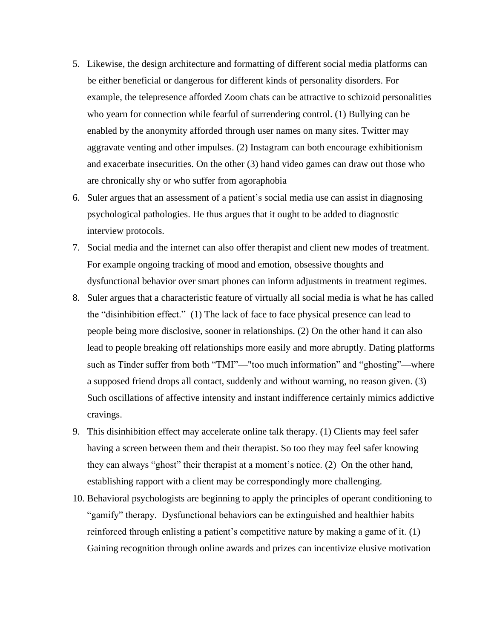- 5. Likewise, the design architecture and formatting of different social media platforms can be either beneficial or dangerous for different kinds of personality disorders. For example, the telepresence afforded Zoom chats can be attractive to schizoid personalities who yearn for connection while fearful of surrendering control. (1) Bullying can be enabled by the anonymity afforded through user names on many sites. Twitter may aggravate venting and other impulses. (2) Instagram can both encourage exhibitionism and exacerbate insecurities. On the other (3) hand video games can draw out those who are chronically shy or who suffer from agoraphobia
- 6. Suler argues that an assessment of a patient's social media use can assist in diagnosing psychological pathologies. He thus argues that it ought to be added to diagnostic interview protocols.
- 7. Social media and the internet can also offer therapist and client new modes of treatment. For example ongoing tracking of mood and emotion, obsessive thoughts and dysfunctional behavior over smart phones can inform adjustments in treatment regimes.
- 8. Suler argues that a characteristic feature of virtually all social media is what he has called the "disinhibition effect." (1) The lack of face to face physical presence can lead to people being more disclosive, sooner in relationships. (2) On the other hand it can also lead to people breaking off relationships more easily and more abruptly. Dating platforms such as Tinder suffer from both "TMI"—"too much information" and "ghosting"—where a supposed friend drops all contact, suddenly and without warning, no reason given. (3) Such oscillations of affective intensity and instant indifference certainly mimics addictive cravings.
- 9. This disinhibition effect may accelerate online talk therapy. (1) Clients may feel safer having a screen between them and their therapist. So too they may feel safer knowing they can always "ghost" their therapist at a moment's notice. (2) On the other hand, establishing rapport with a client may be correspondingly more challenging.
- 10. Behavioral psychologists are beginning to apply the principles of operant conditioning to "gamify" therapy. Dysfunctional behaviors can be extinguished and healthier habits reinforced through enlisting a patient's competitive nature by making a game of it. (1) Gaining recognition through online awards and prizes can incentivize elusive motivation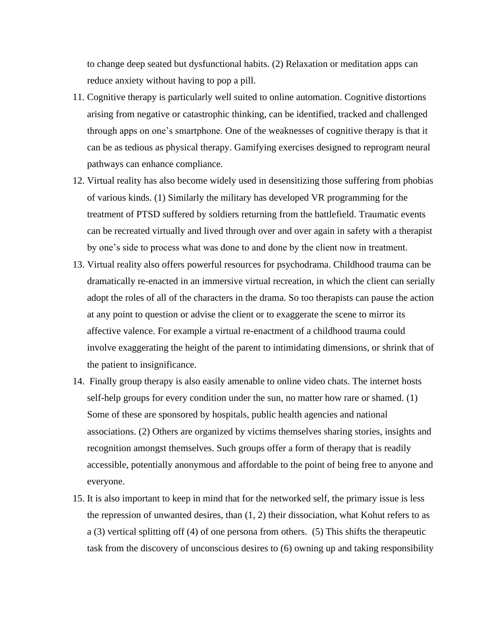to change deep seated but dysfunctional habits. (2) Relaxation or meditation apps can reduce anxiety without having to pop a pill.

- 11. Cognitive therapy is particularly well suited to online automation. Cognitive distortions arising from negative or catastrophic thinking, can be identified, tracked and challenged through apps on one's smartphone. One of the weaknesses of cognitive therapy is that it can be as tedious as physical therapy. Gamifying exercises designed to reprogram neural pathways can enhance compliance.
- 12. Virtual reality has also become widely used in desensitizing those suffering from phobias of various kinds. (1) Similarly the military has developed VR programming for the treatment of PTSD suffered by soldiers returning from the battlefield. Traumatic events can be recreated virtually and lived through over and over again in safety with a therapist by one's side to process what was done to and done by the client now in treatment.
- 13. Virtual reality also offers powerful resources for psychodrama. Childhood trauma can be dramatically re-enacted in an immersive virtual recreation, in which the client can serially adopt the roles of all of the characters in the drama. So too therapists can pause the action at any point to question or advise the client or to exaggerate the scene to mirror its affective valence. For example a virtual re-enactment of a childhood trauma could involve exaggerating the height of the parent to intimidating dimensions, or shrink that of the patient to insignificance.
- 14. Finally group therapy is also easily amenable to online video chats. The internet hosts self-help groups for every condition under the sun, no matter how rare or shamed. (1) Some of these are sponsored by hospitals, public health agencies and national associations. (2) Others are organized by victims themselves sharing stories, insights and recognition amongst themselves. Such groups offer a form of therapy that is readily accessible, potentially anonymous and affordable to the point of being free to anyone and everyone.
- 15. It is also important to keep in mind that for the networked self, the primary issue is less the repression of unwanted desires, than  $(1, 2)$  their dissociation, what Kohut refers to as a (3) vertical splitting off (4) of one persona from others. (5) This shifts the therapeutic task from the discovery of unconscious desires to (6) owning up and taking responsibility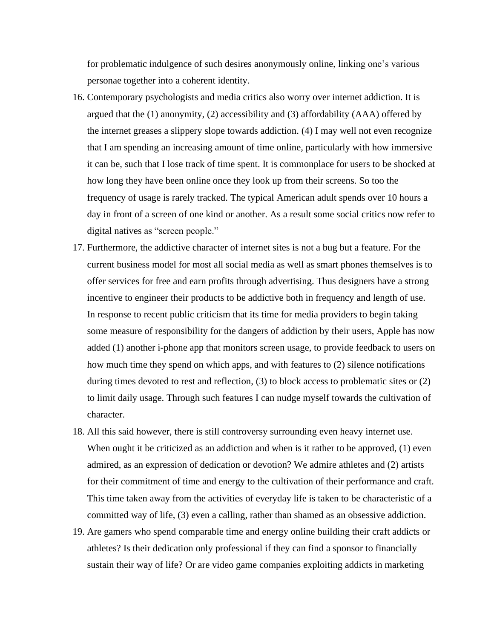for problematic indulgence of such desires anonymously online, linking one's various personae together into a coherent identity.

- 16. Contemporary psychologists and media critics also worry over internet addiction. It is argued that the (1) anonymity, (2) accessibility and (3) affordability (AAA) offered by the internet greases a slippery slope towards addiction. (4) I may well not even recognize that I am spending an increasing amount of time online, particularly with how immersive it can be, such that I lose track of time spent. It is commonplace for users to be shocked at how long they have been online once they look up from their screens. So too the frequency of usage is rarely tracked. The typical American adult spends over 10 hours a day in front of a screen of one kind or another. As a result some social critics now refer to digital natives as "screen people."
- 17. Furthermore, the addictive character of internet sites is not a bug but a feature. For the current business model for most all social media as well as smart phones themselves is to offer services for free and earn profits through advertising. Thus designers have a strong incentive to engineer their products to be addictive both in frequency and length of use. In response to recent public criticism that its time for media providers to begin taking some measure of responsibility for the dangers of addiction by their users, Apple has now added (1) another i-phone app that monitors screen usage, to provide feedback to users on how much time they spend on which apps, and with features to (2) silence notifications during times devoted to rest and reflection, (3) to block access to problematic sites or (2) to limit daily usage. Through such features I can nudge myself towards the cultivation of character.
- 18. All this said however, there is still controversy surrounding even heavy internet use. When ought it be criticized as an addiction and when is it rather to be approved, (1) even admired, as an expression of dedication or devotion? We admire athletes and (2) artists for their commitment of time and energy to the cultivation of their performance and craft. This time taken away from the activities of everyday life is taken to be characteristic of a committed way of life, (3) even a calling, rather than shamed as an obsessive addiction.
- 19. Are gamers who spend comparable time and energy online building their craft addicts or athletes? Is their dedication only professional if they can find a sponsor to financially sustain their way of life? Or are video game companies exploiting addicts in marketing